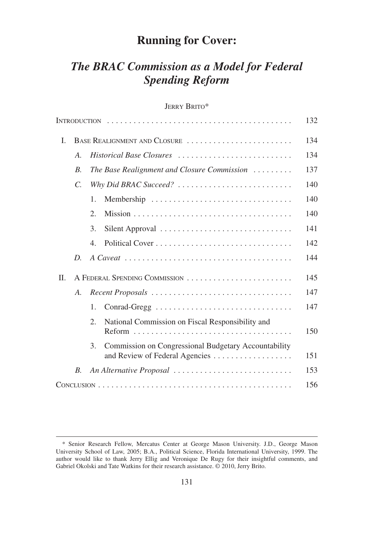## **Running for Cover:**

# *The BRAC Commission as a Model for Federal Spending Reform*

## JERRY BRITO\*

|         |                               |                                             |                                                                                        | 132 |
|---------|-------------------------------|---------------------------------------------|----------------------------------------------------------------------------------------|-----|
| I.      | BASE REALIGNMENT AND CLOSURE  |                                             |                                                                                        | 134 |
|         | A.                            | Historical Base Closures                    |                                                                                        | 134 |
|         | $B$ .                         | The Base Realignment and Closure Commission |                                                                                        | 137 |
|         | $\mathcal{C}$ .               | Why Did BRAC Succeed?                       |                                                                                        | 140 |
|         |                               | 1.                                          |                                                                                        | 140 |
|         |                               | $\overline{2}$ .                            |                                                                                        | 140 |
|         |                               | 3.                                          | Silent Approval                                                                        | 141 |
|         |                               | $\overline{4}$ .                            |                                                                                        | 142 |
|         | D.                            |                                             |                                                                                        | 144 |
| $\Pi$ . | A FEDERAL SPENDING COMMISSION |                                             | 145                                                                                    |     |
|         | A.                            | Recent Proposals                            |                                                                                        | 147 |
|         |                               | 1.                                          | Conrad-Gregg                                                                           | 147 |
|         |                               | 2.                                          | National Commission on Fiscal Responsibility and                                       | 150 |
|         |                               | 3.                                          | Commission on Congressional Budgetary Accountability<br>and Review of Federal Agencies | 151 |
|         | $B_{\cdot}$                   |                                             | An Alternative Proposal                                                                | 153 |
|         |                               |                                             | 156                                                                                    |     |
|         |                               |                                             |                                                                                        |     |

<sup>\*</sup> Senior Research Fellow, Mercatus Center at George Mason University. J.D., George Mason University School of Law, 2005; B.A., Political Science, Florida International University, 1999. The author would like to thank Jerry Ellig and Veronique De Rugy for their insightful comments, and Gabriel Okolski and Tate Watkins for their research assistance. © 2010, Jerry Brito.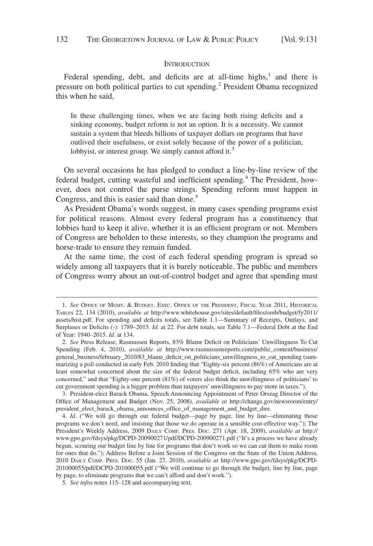#### **INTRODUCTION**

Federal spending, debt, and deficits are at all-time highs, $<sup>1</sup>$  and there is</sup> pressure on both political parties to cut spending.<sup>2</sup> President Obama recognized this when he said,

In these challenging times, when we are facing both rising deficits and a sinking economy, budget reform is not an option. It is a necessity. We cannot sustain a system that bleeds billions of taxpayer dollars on programs that have outlived their usefulness, or exist solely because of the power of a politician, lobbyist, or interest group. We simply cannot afford it.<sup>3</sup>

On several occasions he has pledged to conduct a line-by-line review of the federal budget, cutting wasteful and inefficient spending.<sup>4</sup> The President, however, does not control the purse strings. Spending reform must happen in Congress, and this is easier said than done.<sup>5</sup>

As President Obama's words suggest, in many cases spending programs exist for political reasons. Almost every federal program has a constituency that lobbies hard to keep it alive, whether it is an efficient program or not. Members of Congress are beholden to these interests, so they champion the programs and horse-trade to ensure they remain funded.

At the same time, the cost of each federal spending program is spread so widely among all taxpayers that it is barely noticeable. The public and members of Congress worry about an out-of-control budget and agree that spending must

3. President-elect Barack Obama, Speech Announcing Appointment of Peter Orszag Director of the Office of Management and Budget (Nov. 25, 2008), *available at* http://change.gov/newsroom/entry/ president\_elect\_barack\_obama\_announces\_office\_of\_management\_and\_budget\_dire.

4. *Id*. ("We will go through our federal budget—page by page, line by line—eliminating those programs we don't need, and insisting that those we do operate in a sensible cost-effective way."); The President's Weekly Address, 2009 DAILY COMP. PRES. DOC. 271 (Apr. 18, 2009), *available at* http:// www.gpo.gov/fdsys/pkg/DCPD-200900271/pdf/DCPD-200900271.pdf ("It's a process we have already begun, scouring our budget line by line for programs that don't work so we can cut them to make room for ones that do."); Address Before a Joint Session of the Congress on the State of the Union Address, 2010 DAILY COMP. PRES. DOC. 55 (Jan. 27, 2010), *available at* http://www.gpo.gov/fdsys/pkg/DCPD-201000055/pdf/DCPD-201000055.pdf ("We will continue to go through the budget, line by line, page by page, to eliminate programs that we can't afford and don't work.").

5. *See infra* notes 115–128 and accompanying text.

<sup>1.</sup> *See* OFFICE OF MGMT.&BUDGET, EXEC. OFFICE OF THE PRESIDENT, FISCAL YEAR 2011, HISTORICAL TABLES 22, 134 (2010), *available at* http://www.whitehouse.gov/sites/default/files/omb/budget/fy2011/ assets/hist.pdf. For spending and deficits totals, see Table 1.1—Summary of Receipts, Outlays, and Surpluses or Deficits (-): 1789–2015. *Id.* at 22. For debt totals, see Table 7.1—Federal Debt at the End of Year: 1940–2015. *Id.* at 134.

<sup>2.</sup> *See* Press Release, Rasmussen Reports, 83% Blame Deficit on Politicians' Unwillingness To Cut Spending (Feb. 4, 2010), *available at* http://www.rasmussenreports.com/public\_content/business/ general\_business/february\_2010/83\_blame\_deficit\_on\_politicians\_unwillingness\_to\_cut\_spending (summarizing a poll conducted in early Feb. 2010 finding that "Eighty-six percent (86%) of Americans are at least somewhat concerned about the size of the federal budget deficit, including 65% who are very concerned," and that "Eighty-one percent (81%) of voters also think the unwillingness of politicians' to cut government spending is a bigger problem than taxpayers' unwillingness to pay more in taxes.").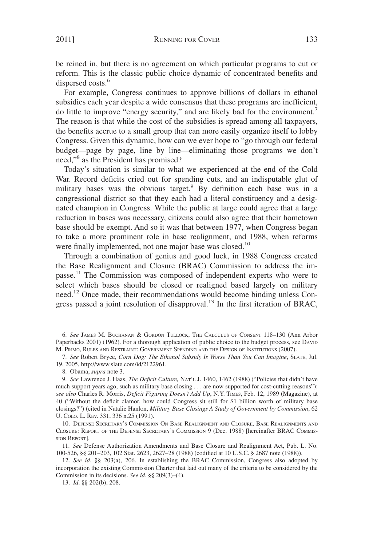be reined in, but there is no agreement on which particular programs to cut or reform. This is the classic public choice dynamic of concentrated benefits and dispersed costs.<sup>6</sup>

For example, Congress continues to approve billions of dollars in ethanol subsidies each year despite a wide consensus that these programs are inefficient, do little to improve "energy security," and are likely bad for the environment.<sup>7</sup> The reason is that while the cost of the subsidies is spread among all taxpayers, the benefits accrue to a small group that can more easily organize itself to lobby Congress. Given this dynamic, how can we ever hope to "go through our federal budget—page by page, line by line—eliminating those programs we don't need,"<sup>8</sup> as the President has promised?

Today's situation is similar to what we experienced at the end of the Cold War. Record deficits cried out for spending cuts, and an indisputable glut of military bases was the obvious target.<sup>9</sup> By definition each base was in a congressional district so that they each had a literal constituency and a designated champion in Congress. While the public at large could agree that a large reduction in bases was necessary, citizens could also agree that their hometown base should be exempt. And so it was that between 1977, when Congress began to take a more prominent role in base realignment, and 1988, when reforms were finally implemented, not one major base was closed.<sup>10</sup>

Through a combination of genius and good luck, in 1988 Congress created the Base Realignment and Closure (BRAC) Commission to address the impasse.<sup>11</sup> The Commission was composed of independent experts who were to select which bases should be closed or realigned based largely on military need.<sup>12</sup> Once made, their recommendations would become binding unless Congress passed a joint resolution of disapproval.<sup>13</sup> In the first iteration of BRAC,

11. *See* Defense Authorization Amendments and Base Closure and Realignment Act, Pub. L. No. 100-526, §§ 201–203, 102 Stat. 2623, 2627–28 (1988) (codified at 10 U.S.C. § 2687 note (1988)).

12. *See id*. §§ 203(a), 206. In establishing the BRAC Commission, Congress also adopted by incorporation the existing Commission Charter that laid out many of the criteria to be considered by the Commission in its decisions. *See id*. §§ 209(3)–(4).

<sup>6.</sup> *See* JAMES M. BUCHANAN & GORDON TULLOCK, THE CALCULUS OF CONSENT 118–130 (Ann Arbor Paperbacks 2001) (1962). For a thorough application of public choice to the budget process, see DAVID M. PRIMO, RULES AND RESTRAINT: GOVERNMENT SPENDING AND THE DESIGN OF INSTITUTIONS (2007).

<sup>7.</sup> *See* Robert Bryce, *Corn Dog: The Ethanol Subsidy Is Worse Than You Can Imagine*, SLATE, Jul. 19, 2005, http://www.slate.com/id/2122961.

<sup>8.</sup> Obama, *supra* note 3.

<sup>9.</sup> *See* Lawrence J. Haas, *The Deficit Culture,* NAT'L J. 1460, 1462 (1988) ("Policies that didn't have much support years ago, such as military base closing . . . are now supported for cost-cutting reasons"); *see also* Charles R. Morris, *Deficit Figuring Doesn't Add Up*, N.Y. TIMES, Feb. 12, 1989 (Magazine), at 40 ("Without the deficit clamor, how could Congress sit still for \$1 billion worth of military base closings?") (cited in Natalie Hanlon, *Military Base Closings A Study of Government by Commission*, 62 U. COLO. L. REV. 331, 336 n.25 (1991).

<sup>10.</sup> DEFENSE SECRETARY'S COMMISSION ON BASE REALIGNMENT AND CLOSURE, BASE REALIGNMENTS AND CLOSURE: REPORT OF THE DEFENSE SECRETARY'S COMMISSION 9 (Dec. 1988) [hereinafter BRAC COMMIS-SION REPORT].

<sup>13.</sup> *Id*. §§ 202(b), 208.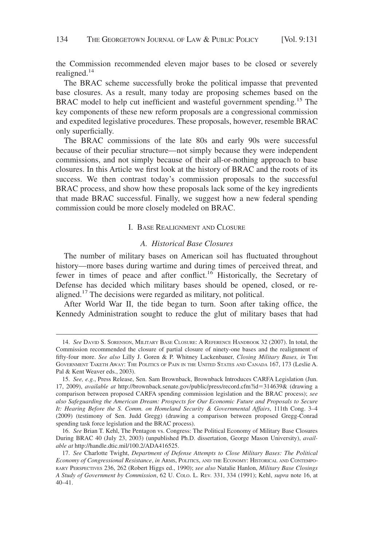the Commission recommended eleven major bases to be closed or severely realigned. $14$ 

The BRAC scheme successfully broke the political impasse that prevented base closures. As a result, many today are proposing schemes based on the BRAC model to help cut inefficient and wasteful government spending.<sup>15</sup> The key components of these new reform proposals are a congressional commission and expedited legislative procedures. These proposals, however, resemble BRAC only superficially.

The BRAC commissions of the late 80s and early 90s were successful because of their peculiar structure—not simply because they were independent commissions, and not simply because of their all-or-nothing approach to base closures. In this Article we first look at the history of BRAC and the roots of its success. We then contrast today's commission proposals to the successful BRAC process, and show how these proposals lack some of the key ingredients that made BRAC successful. Finally, we suggest how a new federal spending commission could be more closely modeled on BRAC.

#### I. BASE REALIGNMENT AND CLOSURE

#### *A. Historical Base Closures*

The number of military bases on American soil has fluctuated throughout history—more bases during wartime and during times of perceived threat, and fewer in times of peace and after conflict.<sup>16</sup> Historically, the Secretary of Defense has decided which military bases should be opened, closed, or realigned.<sup>17</sup> The decisions were regarded as military, not political.

After World War II, the tide began to turn. Soon after taking office, the Kennedy Administration sought to reduce the glut of military bases that had

<sup>14.</sup> *See* DAVID S. SORENSON, MILITARY BASE CLOSURE:AREFERENCE HANDBOOK 32 (2007). In total, the Commission recommended the closure of partial closure of ninety-one bases and the realignment of fifty-four more. *See also* Lilly J. Goren & P. Whitney Lackenbauer, *Closing Military Bases, in* THE GOVERNMENT TAKETH AWAY: THE POLITICS OF PAIN IN THE UNITED STATES AND CANADA 167, 173 (Leslie A. Pal & Kent Weaver eds., 2003).

<sup>15.</sup> *See, e.g.*, Press Release, Sen. Sam Brownback, Brownback Introduces CARFA Legislation (Jun. 17, 2009), *available at* http://brownback.senate.gov/public/press/record.cfm?id=314639& (drawing a comparison between proposed CARFA spending commission legislation and the BRAC process); *see also Safeguarding the American Dream: Prospects for Our Economic Future and Proposals to Secure It: Hearing Before the S. Comm. on Homeland Security & Governmental Affairs*, 111th Cong. 3–4 (2009) (testimony of Sen. Judd Gregg) (drawing a comparison between proposed Gregg-Conrad spending task force legislation and the BRAC process).

<sup>16.</sup> *See* Brian T. Kehl, The Pentagon vs. Congress: The Political Economy of Military Base Closures During BRAC 40 (July 23, 2003) (unpublished Ph.D. dissertation, George Mason University), *available at* http://handle.dtic.mil/100.2/ADA416525.

<sup>17.</sup> *See* Charlotte Twight, *Department of Defense Attempts to Close Military Bases: The Political Economy of Congressional Resistance*, *in* ARMS, POLITICS, AND THE ECONOMY: HISTORICAL AND CONTEMPO-RARY PERSPECTIVES 236, 262 (Robert Higgs ed., 1990); *see also* Natalie Hanlon, *Military Base Closings A Study of Government by Commission*, 62 U. COLO. L. REV. 331, 334 (1991); Kehl, *supra* note 16, at 40–41.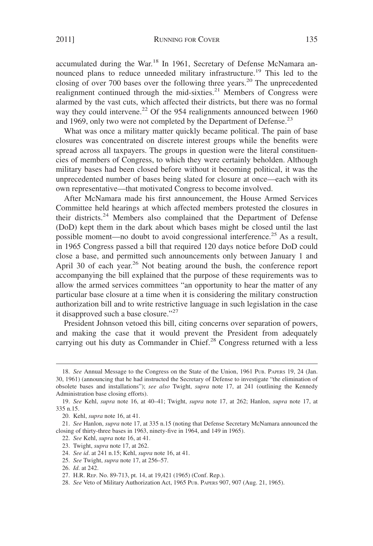accumulated during the War.<sup>18</sup> In 1961, Secretary of Defense McNamara announced plans to reduce unneeded military infrastructure.<sup>19</sup> This led to the closing of over 700 bases over the following three years.<sup>20</sup> The unprecedented realignment continued through the mid-sixties.<sup>21</sup> Members of Congress were alarmed by the vast cuts, which affected their districts, but there was no formal way they could intervene.<sup>22</sup> Of the 954 realignments announced between 1960 and 1969, only two were not completed by the Department of Defense.<sup>23</sup>

What was once a military matter quickly became political. The pain of base closures was concentrated on discrete interest groups while the benefits were spread across all taxpayers. The groups in question were the literal constituencies of members of Congress, to which they were certainly beholden. Although military bases had been closed before without it becoming political, it was the unprecedented number of bases being slated for closure at once—each with its own representative—that motivated Congress to become involved.

After McNamara made his first announcement, the House Armed Services Committee held hearings at which affected members protested the closures in their districts.<sup>24</sup> Members also complained that the Department of Defense (DoD) kept them in the dark about which bases might be closed until the last possible moment—no doubt to avoid congressional interference.<sup>25</sup> As a result, in 1965 Congress passed a bill that required 120 days notice before DoD could close a base, and permitted such announcements only between January 1 and April 30 of each year.<sup>26</sup> Not beating around the bush, the conference report accompanying the bill explained that the purpose of these requirements was to allow the armed services committees "an opportunity to hear the matter of any particular base closure at a time when it is considering the military construction authorization bill and to write restrictive language in such legislation in the case it disapproved such a base closure."<sup>27</sup>

President Johnson vetoed this bill, citing concerns over separation of powers, and making the case that it would prevent the President from adequately carrying out his duty as Commander in Chief.<sup>28</sup> Congress returned with a less

<sup>18.</sup> *See* Annual Message to the Congress on the State of the Union, 1961 PUB. PAPERS 19, 24 (Jan. 30, 1961) (announcing that he had instructed the Secretary of Defense to investigate "the elimination of obsolete bases and installations"); *see also* Twight, *supra* note 17, at 241 (outlining the Kennedy Administration base closing efforts).

<sup>19.</sup> *See* Kehl, *supra* note 16, at 40–41; Twight, *supra* note 17, at 262; Hanlon, *supra* note 17, at 335 n.15.

<sup>20.</sup> Kehl, *supra* note 16, at 41.

<sup>21.</sup> *See* Hanlon, *supra* note 17, at 335 n.15 (noting that Defense Secretary McNamara announced the closing of thirty-three bases in 1963, ninety-five in 1964, and 149 in 1965).

<sup>22.</sup> *See* Kehl, *supra* note 16, at 41.

<sup>23.</sup> Twight, *supra* note 17, at 262.

<sup>24.</sup> *See id*. at 241 n.15; Kehl, *supra* note 16, at 41.

<sup>25.</sup> *See* Twight, *supra* note 17, at 256–57.

<sup>26.</sup> *Id*. at 242.

<sup>27.</sup> H.R. REP. No. 89-713, pt. 14, at 19,421 (1965) (Conf. Rep.).

<sup>28.</sup> *See* Veto of Military Authorization Act, 1965 PUB. PAPERS 907, 907 (Aug. 21, 1965).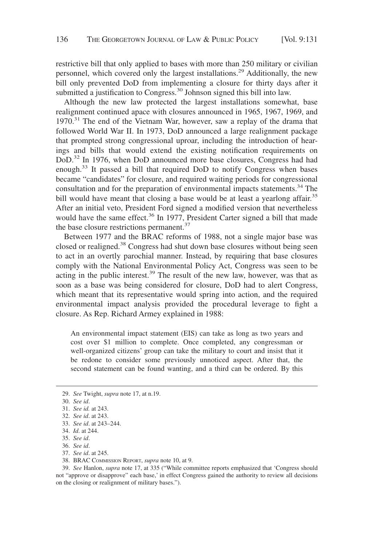restrictive bill that only applied to bases with more than 250 military or civilian personnel, which covered only the largest installations.<sup>29</sup> Additionally, the new bill only prevented DoD from implementing a closure for thirty days after it submitted a justification to Congress.<sup>30</sup> Johnson signed this bill into law.

Although the new law protected the largest installations somewhat, base realignment continued apace with closures announced in 1965, 1967, 1969, and 1970.<sup>31</sup> The end of the Vietnam War, however, saw a replay of the drama that followed World War II. In 1973, DoD announced a large realignment package that prompted strong congressional uproar, including the introduction of hearings and bills that would extend the existing notification requirements on DoD.<sup>32</sup> In 1976, when DoD announced more base closures, Congress had had enough.<sup>33</sup> It passed a bill that required DoD to notify Congress when bases became "candidates" for closure, and required waiting periods for congressional consultation and for the preparation of environmental impacts statements.<sup>34</sup> The bill would have meant that closing a base would be at least a yearlong affair.<sup>35</sup> After an initial veto, President Ford signed a modified version that nevertheless would have the same effect.<sup>36</sup> In 1977, President Carter signed a bill that made the base closure restrictions permanent.<sup>37</sup>

Between 1977 and the BRAC reforms of 1988, not a single major base was closed or realigned.<sup>38</sup> Congress had shut down base closures without being seen to act in an overtly parochial manner. Instead, by requiring that base closures comply with the National Environmental Policy Act, Congress was seen to be acting in the public interest.<sup>39</sup> The result of the new law, however, was that as soon as a base was being considered for closure, DoD had to alert Congress, which meant that its representative would spring into action, and the required environmental impact analysis provided the procedural leverage to fight a closure. As Rep. Richard Armey explained in 1988:

An environmental impact statement (EIS) can take as long as two years and cost over \$1 million to complete. Once completed, any congressman or well-organized citizens' group can take the military to court and insist that it be redone to consider some previously unnoticed aspect. After that, the second statement can be found wanting, and a third can be ordered. By this

- 37. *See id*. at 245.
- 38. BRAC COMMISSION REPORT, *supra* note 10, at 9.

39. *See* Hanlon, *supra* note 17, at 335 ("While committee reports emphasized that 'Congress should not "approve or disapprove" each base,' in effect Congress gained the authority to review all decisions on the closing or realignment of military bases.").

<sup>29.</sup> *See* Twight, *supra* note 17, at n.19.

<sup>30.</sup> *See id*.

<sup>31.</sup> *See id.* at 243.

<sup>32.</sup> *See id*. at 243.

<sup>33.</sup> *See id*. at 243–244.

<sup>34.</sup> *Id*. at 244.

<sup>35.</sup> *See id*.

<sup>36.</sup> *See id*.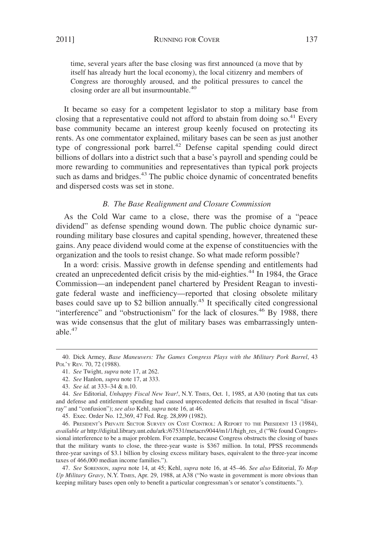time, several years after the base closing was first announced (a move that by itself has already hurt the local economy), the local citizenry and members of Congress are thoroughly aroused, and the political pressures to cancel the closing order are all but insurmountable.<sup>40</sup>

It became so easy for a competent legislator to stop a military base from closing that a representative could not afford to abstain from doing so.<sup>41</sup> Every base community became an interest group keenly focused on protecting its rents. As one commentator explained, military bases can be seen as just another type of congressional pork barrel.<sup>42</sup> Defense capital spending could direct billions of dollars into a district such that a base's payroll and spending could be more rewarding to communities and representatives than typical pork projects such as dams and bridges.<sup>43</sup> The public choice dynamic of concentrated benefits and dispersed costs was set in stone.

#### *B. The Base Realignment and Closure Commission*

As the Cold War came to a close, there was the promise of a "peace dividend" as defense spending wound down. The public choice dynamic surrounding military base closures and capital spending, however, threatened these gains. Any peace dividend would come at the expense of constituencies with the organization and the tools to resist change. So what made reform possible?

In a word: crisis. Massive growth in defense spending and entitlements had created an unprecedented deficit crisis by the mid-eighties.<sup>44</sup> In 1984, the Grace Commission—an independent panel chartered by President Reagan to investigate federal waste and inefficiency—reported that closing obsolete military bases could save up to \$2 billion annually.<sup>45</sup> It specifically cited congressional "interference" and "obstructionism" for the lack of closures.<sup>46</sup> By 1988, there was wide consensus that the glut of military bases was embarrassingly untenable. $47$ 

45. Exec. Order No. 12,369, 47 Fed. Reg. 28,899 (1982).

46. PRESIDENT'S PRIVATE SECTOR SURVEY ON COST CONTROL:AREPORT TO THE PRESIDENT 13 (1984), *available at* http://digital.library.unt.edu/ark:/67531/metacrs9044/m1/1/high\_res\_d ("We found Congressional interference to be a major problem. For example, because Congress obstructs the closing of bases that the military wants to close, the three-year waste is \$367 million. In total, PPSS recommends three-year savings of \$3.1 billion by closing excess military bases, equivalent to the three-year income taxes of 466,000 median income families.").

47. *See* SORENSON, *supra* note 14, at 45; Kehl, *supra* note 16, at 45–46. *See also* Editorial, *To Mop Up Military Gravy*, N.Y. TIMES, Apr. 29, 1988, at A38 ("No waste in government is more obvious than keeping military bases open only to benefit a particular congressman's or senator's constituents.").

<sup>40.</sup> Dick Armey, *Base Maneuvers: The Games Congress Plays with the Military Pork Barrel*, 43 POL'Y REV. 70, 72 (1988).

<sup>41.</sup> *See* Twight, *supra* note 17, at 262.

<sup>42.</sup> *See* Hanlon, *supra* note 17, at 333.

<sup>43.</sup> *See id.* at 333–34 & n.10.

<sup>44.</sup> *See* Editorial, *Unhappy Fiscal New Year!*, N.Y. TIMES, Oct. 1, 1985, at A30 (noting that tax cuts and defense and entitlement spending had caused unprecedented deficits that resulted in fiscal "disarray" and "confusion"); *see also* Kehl, *supra* note 16, at 46.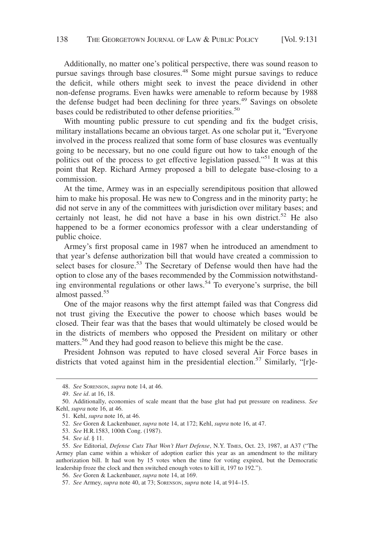Additionally, no matter one's political perspective, there was sound reason to pursue savings through base closures.<sup>48</sup> Some might pursue savings to reduce the deficit, while others might seek to invest the peace dividend in other non-defense programs. Even hawks were amenable to reform because by 1988 the defense budget had been declining for three years.<sup>49</sup> Savings on obsolete bases could be redistributed to other defense priorities.<sup>50</sup>

With mounting public pressure to cut spending and fix the budget crisis, military installations became an obvious target. As one scholar put it, "Everyone involved in the process realized that some form of base closures was eventually going to be necessary, but no one could figure out how to take enough of the politics out of the process to get effective legislation passed."<sup>51</sup> It was at this point that Rep. Richard Armey proposed a bill to delegate base-closing to a commission.

At the time, Armey was in an especially serendipitous position that allowed him to make his proposal. He was new to Congress and in the minority party; he did not serve in any of the committees with jurisdiction over military bases; and certainly not least, he did not have a base in his own district.<sup>52</sup> He also happened to be a former economics professor with a clear understanding of public choice.

Armey's first proposal came in 1987 when he introduced an amendment to that year's defense authorization bill that would have created a commission to select bases for closure.<sup>53</sup> The Secretary of Defense would then have had the option to close any of the bases recommended by the Commission notwithstanding environmental regulations or other laws.<sup>54</sup> To everyone's surprise, the bill almost passed.<sup>55</sup>

One of the major reasons why the first attempt failed was that Congress did not trust giving the Executive the power to choose which bases would be closed. Their fear was that the bases that would ultimately be closed would be in the districts of members who opposed the President on military or other matters.<sup>56</sup> And they had good reason to believe this might be the case.

President Johnson was reputed to have closed several Air Force bases in districts that voted against him in the presidential election.<sup>57</sup> Similarly, "[r]e-

<sup>48.</sup> *See* SORENSON, *supra* note 14, at 46.

<sup>49.</sup> *See id*. at 16, 18.

<sup>50.</sup> Additionally, economies of scale meant that the base glut had put pressure on readiness. *See* Kehl, *supra* note 16, at 46.

<sup>51.</sup> Kehl, *supra* note 16, at 46.

<sup>52.</sup> *See* Goren & Lackenbauer, *supra* note 14, at 172; Kehl, *supra* note 16, at 47.

<sup>53.</sup> *See* H.R.1583, 100th Cong. (1987).

<sup>54.</sup> *See id*. § 11.

<sup>55.</sup> *See* Editorial, *Defense Cuts That Won't Hurt Defense*, N.Y. TIMES, Oct. 23, 1987, at A37 ("The Armey plan came within a whisker of adoption earlier this year as an amendment to the military authorization bill. It had won by 15 votes when the time for voting expired, but the Democratic leadership froze the clock and then switched enough votes to kill it, 197 to 192.").

<sup>56.</sup> *See* Goren & Lackenbauer, *supra* note 14, at 169.

<sup>57.</sup> *See* Armey, *supra* note 40, at 73; SORENSON, *supra* note 14, at 914–15.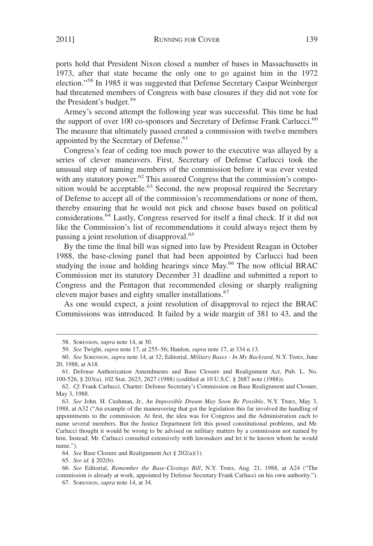ports hold that President Nixon closed a number of bases in Massachusetts in 1973, after that state became the only one to go against him in the 1972 election."<sup>58</sup> In 1985 it was suggested that Defense Secretary Caspar Weinberger had threatened members of Congress with base closures if they did not vote for the President's budget.<sup>59</sup>

Armey's second attempt the following year was successful. This time he had the support of over 100 co-sponsors and Secretary of Defense Frank Carlucci.<sup>60</sup> The measure that ultimately passed created a commission with twelve members appointed by the Secretary of Defense.<sup>61</sup>

Congress's fear of ceding too much power to the executive was allayed by a series of clever maneuvers. First, Secretary of Defense Carlucci took the unusual step of naming members of the commission before it was ever vested with any statutory power.<sup>62</sup> This assured Congress that the commission's composition would be acceptable.<sup>63</sup> Second, the new proposal required the Secretary of Defense to accept all of the commission's recommendations or none of them, thereby ensuring that he would not pick and choose bases based on political considerations.64 Lastly, Congress reserved for itself a final check. If it did not like the Commission's list of recommendations it could always reject them by passing a joint resolution of disapproval.<sup>65</sup>

By the time the final bill was signed into law by President Reagan in October 1988, the base-closing panel that had been appointed by Carlucci had been studying the issue and holding hearings since May.<sup>66</sup> The now official BRAC Commission met its statutory December 31 deadline and submitted a report to Congress and the Pentagon that recommended closing or sharply realigning eleven major bases and eighty smaller installations.<sup>67</sup>

As one would expect, a joint resolution of disapproval to reject the BRAC Commissions was introduced. It failed by a wide margin of 381 to 43, and the

65. *See id.* § 202(b).

<sup>58.</sup> SORENSON, *supra* note 14, at 30.

<sup>59.</sup> *See* Twight, *supra* note 17, at 255–56; Hanlon, *supra* note 17, at 334 n.13.

<sup>60.</sup> *See* SORENSON, *supra* note 14, at 32; Editorial, *Military Bases - In My Backyard*, N.Y. TIMES, June 20, 1988, at A18.

<sup>61.</sup> Defense Authorization Amendments and Base Closure and Realignment Act, Pub. L. No. 100-526, § 203(a), 102 Stat. 2623, 2627 (1988) (codified at 10 U.S.C. § 2687 note (1988)).

<sup>62.</sup> *Cf.* Frank Carlucci, Charter: Defense Secretary's Commission on Base Realignment and Closure, May 3, 1988.

<sup>63.</sup> *See* John. H. Cushman, Jr., *An Impossible Dream May Soon Be Possible*, N.Y. TIMES, May 3, 1988, at A32 ("An example of the maneuvering that got the legislation this far involved the handling of appointments to the commission. At first, the idea was for Congress and the Administration each to name several members. But the Justice Department felt this posed constitutional problems, and Mr. Carlucci thought it would be wrong to be advised on military matters by a commission not named by him. Instead, Mr. Carlucci consulted extensively with lawmakers and let it be known whom he would name.").

<sup>64.</sup> *See* Base Closure and Realignment Act § 202(a)(1).

<sup>66.</sup> *See* Editorial, *Remember the Base-Closings Bill*, N.Y. TIMES, Aug. 21, 1988, at A24 ("The commission is already at work, appointed by Defense Secretary Frank Carlucci on his own authority.").

<sup>67.</sup> SORENSON, *supra* note 14, at 34.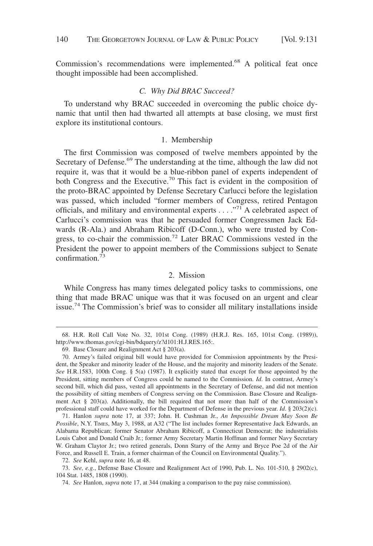Commission's recommendations were implemented.<sup>68</sup> A political feat once thought impossible had been accomplished.

#### *C. Why Did BRAC Succeed?*

To understand why BRAC succeeded in overcoming the public choice dynamic that until then had thwarted all attempts at base closing, we must first explore its institutional contours.

#### 1. Membership

The first Commission was composed of twelve members appointed by the Secretary of Defense.<sup>69</sup> The understanding at the time, although the law did not require it, was that it would be a blue-ribbon panel of experts independent of both Congress and the Executive.<sup>70</sup> This fact is evident in the composition of the proto-BRAC appointed by Defense Secretary Carlucci before the legislation was passed, which included "former members of Congress, retired Pentagon officials, and military and environmental experts  $\dots$ <sup>71</sup> A celebrated aspect of Carlucci's commission was that he persuaded former Congressmen Jack Edwards (R-Ala.) and Abraham Ribicoff (D-Conn.), who were trusted by Congress, to co-chair the commission.<sup>72</sup> Later BRAC Commissions vested in the President the power to appoint members of the Commissions subject to Senate confirmation.<sup>73</sup>

#### 2. Mission

While Congress has many times delegated policy tasks to commissions, one thing that made BRAC unique was that it was focused on an urgent and clear issue.<sup>74</sup> The Commission's brief was to consider all military installations inside

71. Hanlon *supra* note 17, at 337; John. H. Cushman Jr., *An Impossible Dream May Soon Be Possible*, N.Y. TIMES, May 3, 1988, at A32 ("The list includes former Representative Jack Edwards, an Alabama Republican; former Senator Abraham Ribicoff, a Connecticut Democrat; the industrialists Louis Cabot and Donald Craib Jr.; former Army Secretary Martin Hoffman and former Navy Secretary W. Graham Claytor Jr.; two retired generals, Donn Starry of the Army and Bryce Poe 2d of the Air Force, and Russell E. Train, a former chairman of the Council on Environmental Quality.").

72. *See* Kehl, *supra* note 16, at 48.

<sup>68.</sup> H.R. Roll Call Vote No. 32, 101st Cong. (1989) (H.R.J. Res. 165, 101st Cong. (1989)), http://www.thomas.gov/cgi-bin/bdquery/z?d101:H.J.RES.165:.

<sup>69.</sup> Base Closure and Realignment Act § 203(a).

<sup>70.</sup> Armey's failed original bill would have provided for Commission appointments by the President, the Speaker and minority leader of the House, and the majority and minority leaders of the Senate. See H.R.1583, 100th Cong. § 5(a) (1987). It explicitly stated that except for those appointed by the President, sitting members of Congress could be named to the Commission. *Id*. In contrast, Armey's second bill, which did pass, vested all appointments in the Secretary of Defense, and did not mention the possibility of sitting members of Congress serving on the Commission. Base Closure and Realignment Act  $\S$  203(a). Additionally, the bill required that not more than half of the Commission's professional staff could have worked for the Department of Defense in the previous year. *Id*. § 203(2)(c).

<sup>73.</sup> *See, e.g.*, Defense Base Closure and Realignment Act of 1990, Pub. L. No. 101-510, § 2902(c), 104 Stat. 1485, 1808 (1990).

<sup>74.</sup> *See* Hanlon, *supra* note 17, at 344 (making a comparison to the pay raise commission).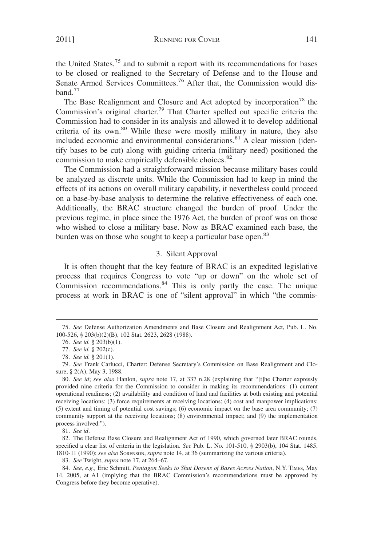the United States, $75$  and to submit a report with its recommendations for bases to be closed or realigned to the Secretary of Defense and to the House and Senate Armed Services Committees.<sup>76</sup> After that, the Commission would dis $band.<sup>77</sup>$ 

The Base Realignment and Closure and Act adopted by incorporation<sup>78</sup> the Commission's original charter.<sup>79</sup> That Charter spelled out specific criteria the Commission had to consider in its analysis and allowed it to develop additional criteria of its own.<sup>80</sup> While these were mostly military in nature, they also included economic and environmental considerations.<sup>81</sup> A clear mission (identify bases to be cut) along with guiding criteria (military need) positioned the commission to make empirically defensible choices.<sup>82</sup>

The Commission had a straightforward mission because military bases could be analyzed as discrete units. While the Commission had to keep in mind the effects of its actions on overall military capability, it nevertheless could proceed on a base-by-base analysis to determine the relative effectiveness of each one. Additionally, the BRAC structure changed the burden of proof. Under the previous regime, in place since the 1976 Act, the burden of proof was on those who wished to close a military base. Now as BRAC examined each base, the burden was on those who sought to keep a particular base open.<sup>83</sup>

#### 3. Silent Approval

It is often thought that the key feature of BRAC is an expedited legislative process that requires Congress to vote "up or down" on the whole set of Commission recommendations.<sup>84</sup> This is only partly the case. The unique process at work in BRAC is one of "silent approval" in which "the commis-

81. *See id*.

82. The Defense Base Closure and Realignment Act of 1990, which governed later BRAC rounds, specified a clear list of criteria in the legislation. *See* Pub. L. No. 101-510, § 2903(b), 104 Stat. 1485, 1810-11 (1990); *see also* SORENSON, *supra* note 14, at 36 (summarizing the various criteria).

83. *See* Twight, *supra* note 17, at 264–67.

<sup>75.</sup> *See* Defense Authorization Amendments and Base Closure and Realignment Act, Pub. L. No. 100-526, § 203(b)(2)(B), 102 Stat. 2623, 2628 (1988).

<sup>76.</sup> *See id.* § 203(b)(1).

<sup>77.</sup> *See id.* § 202(c).

<sup>78.</sup> *See id.* § 201(1).

<sup>79.</sup> *See* Frank Carlucci, Charter: Defense Secretary's Commission on Base Realignment and Closure, § 2(A), May 3, 1988.

<sup>80.</sup> *See id*; *see also* Hanlon, *supra* note 17, at 337 n.28 (explaining that "[t]he Charter expressly provided nine criteria for the Commission to consider in making its recommendations: (1) current operational readiness; (2) availability and condition of land and facilities at both existing and potential receiving locations; (3) force requirements at receiving locations; (4) cost and manpower implications; (5) extent and timing of potential cost savings; (6) economic impact on the base area community; (7) community support at the receiving locations; (8) environmental impact; and (9) the implementation process involved.").

<sup>84.</sup> *See, e.g.,* Eric Schmitt, *Pentagon Seeks to Shut Dozens of Bases Across Nation*, N.Y. TIMES, May 14, 2005, at A1 (implying that the BRAC Commission's recommendations must be approved by Congress before they become operative).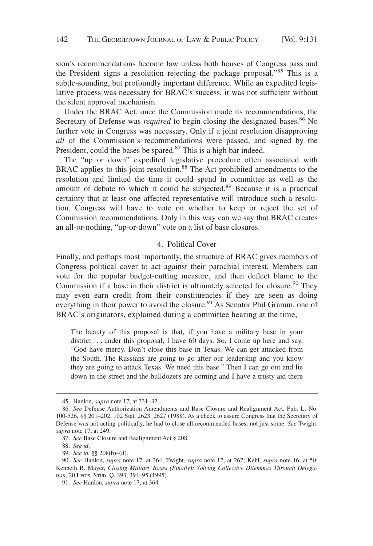sion's recommendations become law unless both houses of Congress pass and the President signs a resolution rejecting the package proposal."<sup>85</sup> This is a subtle-sounding, but profoundly important difference. While an expedited legislative process was necessary for BRAC's success, it was not sufficient without the silent approval mechanism.

Under the BRAC Act, once the Commission made its recommendations, the Secretary of Defense was *required* to begin closing the designated bases.<sup>86</sup> No further vote in Congress was necessary. Only if a joint resolution disapproving *all* of the Commission's recommendations were passed, and signed by the President, could the bases be spared.<sup>87</sup> This is a high bar indeed.

The "up or down" expedited legislative procedure often associated with BRAC applies to this joint resolution.<sup>88</sup> The Act prohibited amendments to the resolution and limited the time it could spend in committee as well as the amount of debate to which it could be subjected.<sup>89</sup> Because it is a practical certainty that at least one affected representative will introduce such a resolution, Congress will have to vote on whether to keep or reject the set of Commission recommendations. Only in this way can we say that BRAC creates an all-or-nothing, "up-or-down" vote on a list of base closures.

#### 4. Political Cover

Finally, and perhaps most importantly, the structure of BRAC gives members of Congress political cover to act against their parochial interest. Members can vote for the popular budget-cutting measure, and then deflect blame to the Commission if a base in their district is ultimately selected for closure.<sup>90</sup> They may even earn credit from their constituencies if they are seen as doing everything in their power to avoid the closure.<sup>91</sup> As Senator Phil Gramm, one of BRAC's originators, explained during a committee hearing at the time,

The beauty of this proposal is that, if you have a military base in your district... under this proposal, I have 60 days. So, I come up here and say, "God have mercy. Don't close this base in Texas. We can get attacked from the South. The Russians are going to go after our leadership and you know they are going to attack Texas. We need this base." Then I can go out and lie down in the street and the bulldozers are coming and I have a trusty aid there

<sup>85.</sup> Hanlon, *supra* note 17, at 331–32.

<sup>86.</sup> *See* Defense Authorization Amendments and Base Closure and Realignment Act, Pub. L. No. 100-526, §§ 201–202, 102 Stat. 2623, 2627 (1988). As a check to assure Congress that the Secretary of Defense was not acting politically, he had to close all recommended bases, not just some. *See* Twight, *supra* note 17, at 249.

<sup>87.</sup> *See* Base Closure and Realignment Act § 208.

<sup>88.</sup> *See id*.

<sup>89.</sup> *See id.* §§ 208(b)–(d).

<sup>90.</sup> *See* Hanlon, *supra* note 17, at 364; Twight, *supra* note 17, at 267; Kehl, *supra* note 16, at 50; Kenneth R. Mayer, *Closing Military Bases (Finally): Solving Collective Dilemmas Through Delegation*, 20 LEGIS. STUD. Q. 393, 394–95 (1995).

<sup>91.</sup> *See* Hanlon, *supra* note 17, at 364.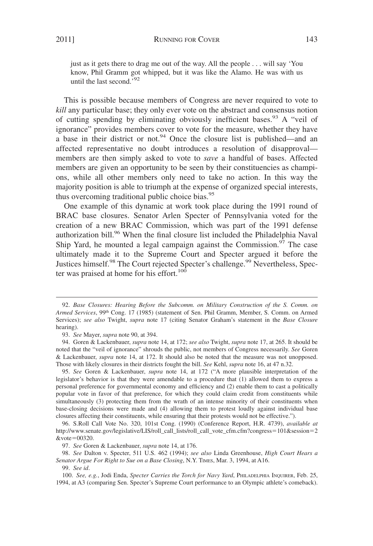just as it gets there to drag me out of the way. All the people... will say 'You know, Phil Gramm got whipped, but it was like the Alamo. He was with us

This is possible because members of Congress are never required to vote to *kill* any particular base; they only ever vote on the abstract and consensus notion of cutting spending by eliminating obviously inefficient bases.<sup>93</sup> A "veil of ignorance" provides members cover to vote for the measure, whether they have a base in their district or not.<sup>94</sup> Once the closure list is published—and an affected representative no doubt introduces a resolution of disapproval members are then simply asked to vote to *save* a handful of bases. Affected members are given an opportunity to be seen by their constituencies as champions, while all other members only need to take no action. In this way the majority position is able to triumph at the expense of organized special interests, thus overcoming traditional public choice bias. $^{95}$ 

One example of this dynamic at work took place during the 1991 round of BRAC base closures. Senator Arlen Specter of Pennsylvania voted for the creation of a new BRAC Commission, which was part of the 1991 defense authorization bill.<sup>96</sup> When the final closure list included the Philadelphia Naval Ship Yard, he mounted a legal campaign against the Commission.<sup>97</sup> The case ultimately made it to the Supreme Court and Specter argued it before the Justices himself.<sup>98</sup> The Court rejected Specter's challenge.<sup>99</sup> Nevertheless, Specter was praised at home for his effort.<sup>100</sup>

95. *See* Goren & Lackenbauer, *supra* note 14, at 172 ("A more plausible interpretation of the legislator's behavior is that they were amendable to a procedure that (1) allowed them to express a personal preference for governmental economy and efficiency and (2) enable them to cast a politically popular vote in favor of that preference, for which they could claim credit from constituents while simultaneously (3) protecting them from the wrath of an intense minority of their constituents when base-closing decisions were made and (4) allowing them to protest loudly against individual base closures affecting their constituents, while ensuring that their protests would not be effective.").

until the last second.'92

<sup>92.</sup> *Base Closures: Hearing Before the Subcomm. on Military Construction of the S. Comm. on Armed Services*, 99th Cong. 17 (1985) (statement of Sen. Phil Gramm, Member, S. Comm. on Armed Services); *see also* Twight, *supra* note 17 (citing Senator Graham's statement in the *Base Closure* hearing).

<sup>93.</sup> *See* Mayer, *supra* note 90, at 394.

<sup>94.</sup> Goren & Lackenbauer, *supra* note 14, at 172; *see also* Twight, *supra* note 17, at 265. It should be noted that the "veil of ignorance" shrouds the public, not members of Congress necessarily. *See* Goren & Lackenbauer, *supra* note 14, at 172. It should also be noted that the measure was not unopposed. Those with likely closures in their districts fought the bill. *See* Kehl, *supra* note 16, at 47 n.32.

<sup>96.</sup> S.Roll Call Vote No. 320, 101st Cong. (1990) (Conference Report, H.R. 4739), *available at* http://www.senate.gov/legislative/LIS/roll\_call\_lists/roll\_call\_vote\_cfm.cfm?congress=101&session=2  $&$ vote=00320.

<sup>97.</sup> *See* Goren & Lackenbauer, *supra* note 14, at 176.

<sup>98.</sup> *See* Dalton v. Specter, 511 U.S. 462 (1994); *see also* Linda Greenhouse, *High Court Hears a Senator Argue For Right to Sue on a Base Closing*, N.Y. TIMES, Mar. 3, 1994, at A16.

<sup>99.</sup> *See id*.

<sup>100.</sup> *See, e.g.*, Jodi Enda, *Specter Carries the Torch for Navy Yard*, PHILADELPHIA INQUIRER, Feb. 25, 1994, at A3 (comparing Sen. Specter's Supreme Court performance to an Olympic athlete's comeback).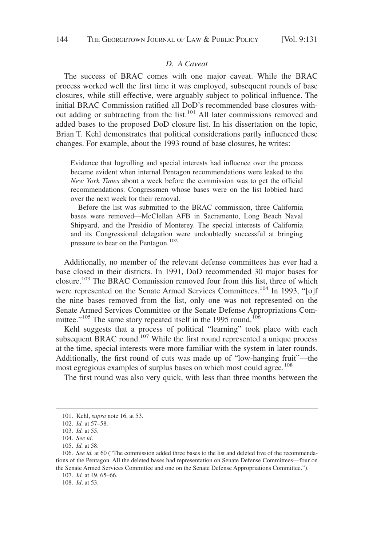#### *D. A Caveat*

The success of BRAC comes with one major caveat. While the BRAC process worked well the first time it was employed, subsequent rounds of base closures, while still effective, were arguably subject to political influence. The initial BRAC Commission ratified all DoD's recommended base closures without adding or subtracting from the list.<sup>101</sup> All later commissions removed and added bases to the proposed DoD closure list. In his dissertation on the topic, Brian T. Kehl demonstrates that political considerations partly influenced these changes. For example, about the 1993 round of base closures, he writes:

Evidence that logrolling and special interests had influence over the process became evident when internal Pentagon recommendations were leaked to the *New York Times* about a week before the commission was to get the official recommendations. Congressmen whose bases were on the list lobbied hard over the next week for their removal.

Before the list was submitted to the BRAC commission, three California bases were removed—McClellan AFB in Sacramento, Long Beach Naval Shipyard, and the Presidio of Monterey. The special interests of California and its Congressional delegation were undoubtedly successful at bringing pressure to bear on the Pentagon.<sup>102</sup>

Additionally, no member of the relevant defense committees has ever had a base closed in their districts. In 1991, DoD recommended 30 major bases for closure.<sup>103</sup> The BRAC Commission removed four from this list, three of which were represented on the Senate Armed Services Committees.<sup>104</sup> In 1993, "[o]f the nine bases removed from the list, only one was not represented on the Senate Armed Services Committee or the Senate Defense Appropriations Committee."<sup>105</sup> The same story repeated itself in the 1995 round.<sup>106</sup>

Kehl suggests that a process of political "learning" took place with each subsequent BRAC round.<sup>107</sup> While the first round represented a unique process at the time, special interests were more familiar with the system in later rounds. Additionally, the first round of cuts was made up of "low-hanging fruit"—the most egregious examples of surplus bases on which most could agree.<sup>108</sup>

The first round was also very quick, with less than three months between the

<sup>101.</sup> Kehl, *supra* note 16, at 53.

<sup>102.</sup> *Id.* at 57–58.

<sup>103.</sup> *Id.* at 55.

<sup>104.</sup> *See id*.

<sup>105.</sup> *Id.* at 58.

<sup>106.</sup> *See id.* at 60 ("The commission added three bases to the list and deleted five of the recommendations of the Pentagon. All the deleted bases had representation on Senate Defense Committees—four on the Senate Armed Services Committee and one on the Senate Defense Appropriations Committee.").

<sup>107.</sup> *Id.* at 49, 65–66.

<sup>108.</sup> *Id*. at 53.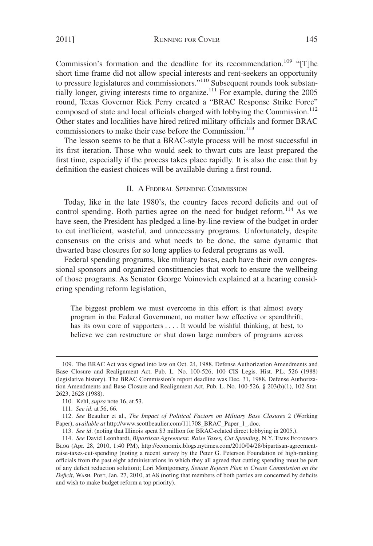2011] RUNNING FOR COVER 145

Commission's formation and the deadline for its recommendation.<sup>109</sup> "[T]he short time frame did not allow special interests and rent-seekers an opportunity to pressure legislatures and commissioners."<sup>110</sup> Subsequent rounds took substantially longer, giving interests time to organize.<sup>111</sup> For example, during the 2005 round, Texas Governor Rick Perry created a "BRAC Response Strike Force" composed of state and local officials charged with lobbying the Commission.<sup>112</sup> Other states and localities have hired retired military officials and former BRAC commissioners to make their case before the Commission.<sup>113</sup>

The lesson seems to be that a BRAC-style process will be most successful in its first iteration. Those who would seek to thwart cuts are least prepared the first time, especially if the process takes place rapidly. It is also the case that by definition the easiest choices will be available during a first round.

### II. A FEDERAL SPENDING COMMISSION

Today, like in the late 1980's, the country faces record deficits and out of control spending. Both parties agree on the need for budget reform.<sup>114</sup> As we have seen, the President has pledged a line-by-line review of the budget in order to cut inefficient, wasteful, and unnecessary programs. Unfortunately, despite consensus on the crisis and what needs to be done, the same dynamic that thwarted base closures for so long applies to federal programs as well.

Federal spending programs, like military bases, each have their own congressional sponsors and organized constituencies that work to ensure the wellbeing of those programs. As Senator George Voinovich explained at a hearing considering spending reform legislation,

The biggest problem we must overcome in this effort is that almost every program in the Federal Government, no matter how effective or spendthrift, has its own core of supporters .... It would be wishful thinking, at best, to believe we can restructure or shut down large numbers of programs across

<sup>109.</sup> The BRAC Act was signed into law on Oct. 24, 1988. Defense Authorization Amendments and Base Closure and Realignment Act, Pub. L. No. 100-526, 100 CIS Legis. Hist. P.L. 526 (1988) (legislative history). The BRAC Commission's report deadline was Dec. 31, 1988. Defense Authorization Amendments and Base Closure and Realignment Act, Pub. L. No. 100-526, § 203(b)(1), 102 Stat. 2623, 2628 (1988).

<sup>110.</sup> Kehl, *supra* note 16, at 53.

<sup>111.</sup> *See id*. at 56, 66.

<sup>112.</sup> *See* Beaulier et al., *The Impact of Political Factors on Military Base Closures* 2 (Working Paper), *available at* http://www.scottbeaulier.com/111708\_BRAC\_Paper\_1\_.doc.

<sup>113.</sup> *See id*. (noting that Illinois spent \$3 million for BRAC-related direct lobbying in 2005.).

<sup>114.</sup> *See* David Leonhardt, *Bipartisan Agreement: Raise Taxes, Cut Spending*, N.Y. TIMES ECONOMICS BLOG (Apr. 28, 2010, 1:40 PM), http://economix.blogs.nytimes.com/2010/04/28/bipartisan-agreementraise-taxes-cut-spending (noting a recent survey by the Peter G. Peterson Foundation of high-ranking officials from the past eight administrations in which they all agreed that cutting spending must be part of any deficit reduction solution); Lori Montgomery, *Senate Rejects Plan to Create Commission on the Deficit*, WASH. POST, Jan. 27, 2010, at A8 (noting that members of both parties are concerned by deficits and wish to make budget reform a top priority).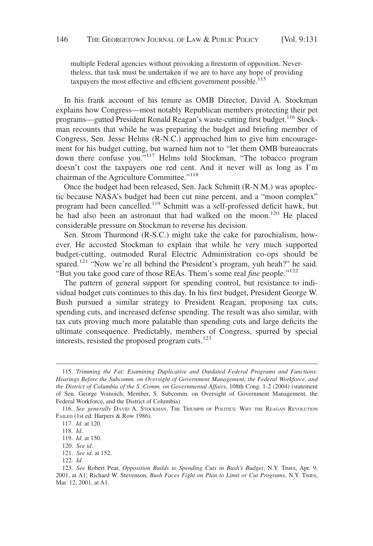multiple Federal agencies without provoking a firestorm of opposition. Nevertheless, that task must be undertaken if we are to have any hope of providing taxpayers the most effective and efficient government possible.<sup>115</sup>

In his frank account of his tenure as OMB Director, David A. Stockman explains how Congress—most notably Republican members protecting their pet programs—gutted President Ronald Reagan's waste-cutting first budget.<sup>116</sup> Stockman recounts that while he was preparing the budget and briefing member of Congress, Sen. Jesse Helms (R-N.C.) approached him to give him encouragement for his budget cutting, but warned him not to "let them OMB bureaucrats down there confuse you."<sup>117</sup> Helms told Stockman, "The tobacco program doesn't cost the taxpayers one red cent. And it never will as long as I'm chairman of the Agriculture Committee."<sup>118</sup>

Once the budget had been released, Sen. Jack Schmitt (R-N.M.) was apoplectic because NASA's budget had been cut nine percent, and a "moon complex" program had been cancelled.119 Schmitt was a self-professed deficit hawk, but he had also been an astronaut that had walked on the moon.<sup>120</sup> He placed considerable pressure on Stockman to reverse his decision.

Sen. Strom Thurmond (R-S.C.) might take the cake for parochialism, however. He accosted Stockman to explain that while he very much supported budget-cutting, outmoded Rural Electric Administration co-ops should be spared.<sup>121</sup> "Now we're all behind the President's program, yuh heah?" he said. "But you take good care of those REAs. Them's some real *fine* people."122

The pattern of general support for spending control, but resistance to individual budget cuts continues to this day. In his first budget, President George W. Bush pursued a similar strategy to President Reagan, proposing tax cuts, spending cuts, and increased defense spending. The result was also similar, with tax cuts proving much more palatable than spending cuts and large deficits the ultimate consequence. Predictably, members of Congress, spurred by special interests, resisted the proposed program cuts.<sup>123</sup>

<sup>115.</sup> *Trimming the Fat: Examining Duplicative and Outdated Federal Programs and Functions: Hearings Before the Subcomm. on Oversight of Government Management, the Federal Workforce, and the District of Columbia of the S. Comm. on Governmental Affairs*, 108th Cong. 1-2 (2004) (statement of Sen. George Voinoich, Member, S. Subcomm. on Oversight of Government Management, the Federal Workforce, and the District of Columbia).

<sup>116.</sup> *See generally* DAVID A. STOCKMAN, THE TRIUMPH OF POLITICS: WHY THE REAGAN REVOLUTION FAILED (1st ed. Harpers & Row 1986).

<sup>117.</sup> *Id*. at 120.

<sup>118.</sup> *Id*.

<sup>119.</sup> *Id*. at 150.

<sup>120.</sup> *See id*.

<sup>121.</sup> *See id*. at 152.

<sup>122.</sup> *Id*.

<sup>123.</sup> *See* Robert Pear, *Opposition Builds to Spending Cuts in Bush's Budget*, N.Y. TIMES, Apr. 9, 2001, at A1; Richard W. Stevenson, *Bush Faces Fight on Plan to Limit or Cut Programs*, N.Y. TIMES, Mar. 12, 2001, at A1.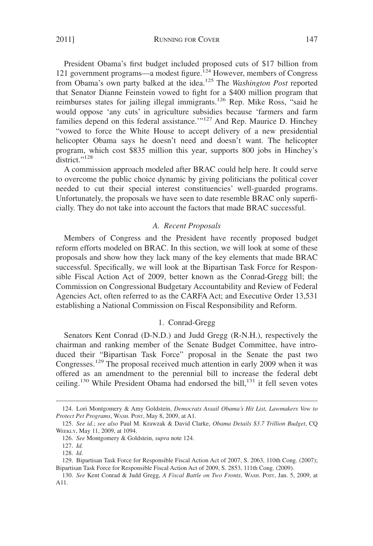2011] RUNNING FOR COVER 147

President Obama's first budget included proposed cuts of \$17 billion from 121 government programs—a modest figure.<sup>124</sup> However, members of Congress from Obama's own party balked at the idea.125 The *Washington Post* reported that Senator Dianne Feinstein vowed to fight for a \$400 million program that reimburses states for jailing illegal immigrants.<sup>126</sup> Rep. Mike Ross, "said he would oppose 'any cuts' in agriculture subsidies because 'farmers and farm families depend on this federal assistance.'"<sup>127</sup> And Rep. Maurice D. Hinchey "vowed to force the White House to accept delivery of a new presidential helicopter Obama says he doesn't need and doesn't want. The helicopter program, which cost \$835 million this year, supports 800 jobs in Hinchey's district."<sup>128</sup>

A commission approach modeled after BRAC could help here. It could serve to overcome the public choice dynamic by giving politicians the political cover needed to cut their special interest constituencies' well-guarded programs. Unfortunately, the proposals we have seen to date resemble BRAC only superficially. They do not take into account the factors that made BRAC successful.

#### *A. Recent Proposals*

Members of Congress and the President have recently proposed budget reform efforts modeled on BRAC. In this section, we will look at some of these proposals and show how they lack many of the key elements that made BRAC successful. Specifically, we will look at the Bipartisan Task Force for Responsible Fiscal Action Act of 2009, better known as the Conrad-Gregg bill; the Commission on Congressional Budgetary Accountability and Review of Federal Agencies Act, often referred to as the CARFA Act; and Executive Order 13,531 establishing a National Commission on Fiscal Responsibility and Reform.

## 1. Conrad-Gregg

Senators Kent Conrad (D-N.D.) and Judd Gregg (R-N.H.), respectively the chairman and ranking member of the Senate Budget Committee, have introduced their "Bipartisan Task Force" proposal in the Senate the past two Congresses.<sup>129</sup> The proposal received much attention in early 2009 when it was offered as an amendment to the perennial bill to increase the federal debt ceiling.<sup>130</sup> While President Obama had endorsed the bill,<sup>131</sup> it fell seven votes

<sup>124.</sup> Lori Montgomery & Amy Goldstein, *Democrats Assail Obama's Hit List, Lawmakers Vow to Protect Pet Programs*, WASH. POST, May 8, 2009, at A1.

<sup>125.</sup> *See id*.; *see also* Paul M. Krawzak & David Clarke, *Obama Details \$3.7 Trillion Budget*, CQ WEEKLY, May 11, 2009, at 1094.

<sup>126.</sup> *See* Montgomery & Goldstein, *supra* note 124.

<sup>127.</sup> *Id.*

<sup>128.</sup> *Id.*

<sup>129.</sup> Bipartisan Task Force for Responsible Fiscal Action Act of 2007, S. 2063, 110th Cong. (2007); Bipartisan Task Force for Responsible Fiscal Action Act of 2009, S. 2853, 111th Cong. (2009).

<sup>130.</sup> *See* Kent Conrad & Judd Gregg, *A Fiscal Battle on Two Fronts*, WASH. POST, Jan. 5, 2009, at A11.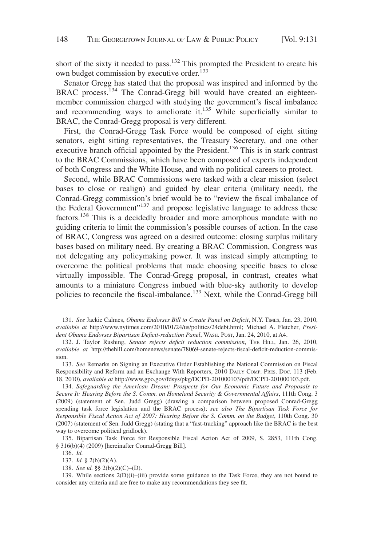short of the sixty it needed to pass.<sup>132</sup> This prompted the President to create his own budget commission by executive order.<sup>133</sup>

Senator Gregg has stated that the proposal was inspired and informed by the BRAC process.<sup>134</sup> The Conrad-Gregg bill would have created an eighteenmember commission charged with studying the government's fiscal imbalance and recommending ways to ameliorate it.<sup>135</sup> While superficially similar to BRAC, the Conrad-Gregg proposal is very different.

First, the Conrad-Gregg Task Force would be composed of eight sitting senators, eight sitting representatives, the Treasury Secretary, and one other executive branch official appointed by the President.136 This is in stark contrast to the BRAC Commissions, which have been composed of experts independent of both Congress and the White House, and with no political careers to protect.

Second, while BRAC Commissions were tasked with a clear mission (select bases to close or realign) and guided by clear criteria (military need), the Conrad-Gregg commission's brief would be to "review the fiscal imbalance of the Federal Government"<sup>137</sup> and propose legislative language to address these factors.<sup>138</sup> This is a decidedly broader and more amorphous mandate with no guiding criteria to limit the commission's possible courses of action. In the case of BRAC, Congress was agreed on a desired outcome: closing surplus military bases based on military need. By creating a BRAC Commission, Congress was not delegating any policymaking power. It was instead simply attempting to overcome the political problems that made choosing specific bases to close virtually impossible. The Conrad-Gregg proposal, in contrast, creates what amounts to a miniature Congress imbued with blue-sky authority to develop policies to reconcile the fiscal-imbalance.<sup>139</sup> Next, while the Conrad-Gregg bill

<sup>131.</sup> *See* Jackie Calmes, *Obama Endorses Bill to Create Panel on Deficit*, N.Y. TIMES, Jan. 23, 2010, *available at* http://www.nytimes.com/2010/01/24/us/politics/24debt.html; Michael A. Fletcher, *President Obama Endorses Bipartisan Deficit-reduction Panel*, WASH. POST, Jan. 24, 2010, at A4.

<sup>132.</sup> J. Taylor Rushing, *Senate rejects deficit reduction commission*, THE HILL, Jan. 26, 2010, *available at* http://thehill.com/homenews/senate/78069-senate-rejects-fiscal-deficit-reduction-commission.

<sup>133.</sup> *See* Remarks on Signing an Executive Order Establishing the National Commission on Fiscal Responsibility and Reform and an Exchange With Reporters, 2010 DAILY COMP. PRES. Doc. 113 (Feb. 18, 2010), *available at* http://www.gpo.gov/fdsys/pkg/DCPD-201000103/pdf/DCPD-201000103.pdf.

<sup>134.</sup> *Safeguarding the American Dream: Prospects for Our Economic Future and Proposals to Secure It: Hearing Before the S. Comm. on Homeland Security & Governmental Affairs*, 111th Cong. 3 (2009) (statement of Sen. Judd Gregg) (drawing a comparison between proposed Conrad-Gregg spending task force legislation and the BRAC process); *see also The Bipartisan Task Force for Responsible Fiscal Action Act of 2007: Hearing Before the S. Comm. on the Budget*, 110th Cong. 30 (2007) (statement of Sen. Judd Gregg) (stating that a "fast-tracking" approach like the BRAC is the best way to overcome political gridlock).

<sup>135.</sup> Bipartisan Task Force for Responsible Fiscal Action Act of 2009, S. 2853, 111th Cong. § 316(b)(4) (2009) [hereinafter Conrad-Gregg Bill].

<sup>136.</sup> *Id.*

<sup>137.</sup> *Id.* § 2(b)(2)(A).

<sup>138.</sup> *See id.* §§ 2(b)(2)(C)–(D).

<sup>139.</sup> While sections 2(D)(i)–(iii) provide some guidance to the Task Force, they are not bound to consider any criteria and are free to make any recommendations they see fit.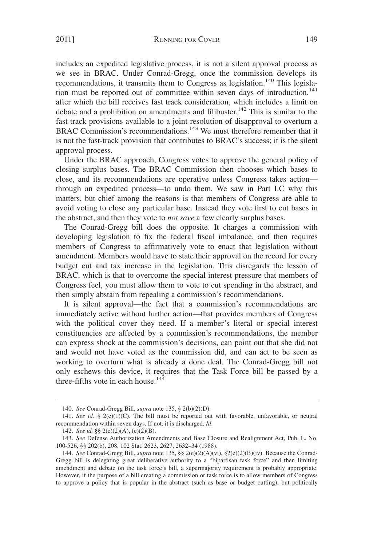includes an expedited legislative process, it is not a silent approval process as we see in BRAC. Under Conrad-Gregg, once the commission develops its recommendations, it transmits them to Congress as legislation.<sup>140</sup> This legislation must be reported out of committee within seven days of introduction, $141$ after which the bill receives fast track consideration, which includes a limit on debate and a prohibition on amendments and filibuster.<sup>142</sup> This is similar to the fast track provisions available to a joint resolution of disapproval to overturn a BRAC Commission's recommendations.<sup>143</sup> We must therefore remember that it is not the fast-track provision that contributes to BRAC's success; it is the silent approval process.

Under the BRAC approach, Congress votes to approve the general policy of closing surplus bases. The BRAC Commission then chooses which bases to close, and its recommendations are operative unless Congress takes action through an expedited process—to undo them. We saw in Part I.C why this matters, but chief among the reasons is that members of Congress are able to avoid voting to close any particular base. Instead they vote first to cut bases in the abstract, and then they vote to *not save* a few clearly surplus bases.

The Conrad-Gregg bill does the opposite. It charges a commission with developing legislation to fix the federal fiscal imbalance, and then requires members of Congress to affirmatively vote to enact that legislation without amendment. Members would have to state their approval on the record for every budget cut and tax increase in the legislation. This disregards the lesson of BRAC, which is that to overcome the special interest pressure that members of Congress feel, you must allow them to vote to cut spending in the abstract, and then simply abstain from repealing a commission's recommendations.

It is silent approval—the fact that a commission's recommendations are immediately active without further action—that provides members of Congress with the political cover they need. If a member's literal or special interest constituencies are affected by a commission's recommendations, the member can express shock at the commission's decisions, can point out that she did not and would not have voted as the commission did, and can act to be seen as working to overturn what is already a done deal. The Conrad-Gregg bill not only eschews this device, it requires that the Task Force bill be passed by a three-fifths vote in each house. $144$ 

<sup>140.</sup> *See* Conrad-Gregg Bill, *supra* note 135, § 2(b)(2)(D).

<sup>141.</sup> *See id.* § 2(e)(1)(C). The bill must be reported out with favorable, unfavorable, or neutral recommendation within seven days. If not, it is discharged. *Id*.

<sup>142.</sup> *See id.* §§ 2(e)(2)(A), (e)(2)(B).

<sup>143.</sup> *See* Defense Authorization Amendments and Base Closure and Realignment Act, Pub. L. No. 100-526, §§ 202(b), 208, 102 Stat. 2623, 2627, 2632–34 (1988).

<sup>144.</sup> *See* Conrad-Gregg Bill, *supra* note 135, §§ 2(e)(2)(A)(vi), §2(e)(2)(B)(iv). Because the Conrad-Gregg bill is delegating great deliberative authority to a "bipartisan task force" and then limiting amendment and debate on the task force's bill, a supermajority requirement is probably appropriate. However, if the purpose of a bill creating a commission or task force is to allow members of Congress to approve a policy that is popular in the abstract (such as base or budget cutting), but politically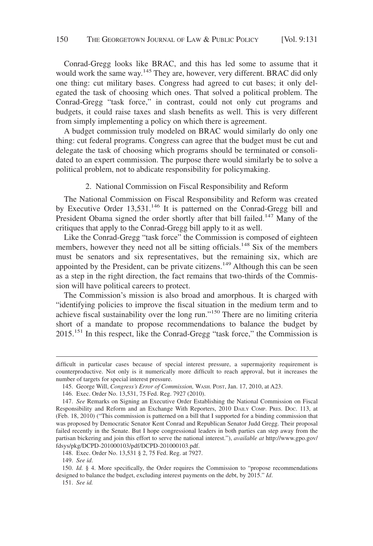Conrad-Gregg looks like BRAC, and this has led some to assume that it would work the same way.<sup>145</sup> They are, however, very different. BRAC did only one thing: cut military bases. Congress had agreed to cut bases; it only delegated the task of choosing which ones. That solved a political problem. The Conrad-Gregg "task force," in contrast, could not only cut programs and budgets, it could raise taxes and slash benefits as well. This is very different from simply implementing a policy on which there is agreement.

A budget commission truly modeled on BRAC would similarly do only one thing: cut federal programs. Congress can agree that the budget must be cut and delegate the task of choosing which programs should be terminated or consolidated to an expert commission. The purpose there would similarly be to solve a political problem, not to abdicate responsibility for policymaking.

#### 2. National Commission on Fiscal Responsibility and Reform

The National Commission on Fiscal Responsibility and Reform was created by Executive Order  $13,531$ .<sup>146</sup> It is patterned on the Conrad-Gregg bill and President Obama signed the order shortly after that bill failed.<sup>147</sup> Many of the critiques that apply to the Conrad-Gregg bill apply to it as well.

Like the Conrad-Gregg "task force" the Commission is composed of eighteen members, however they need not all be sitting officials.<sup>148</sup> Six of the members must be senators and six representatives, but the remaining six, which are appointed by the President, can be private citizens.<sup>149</sup> Although this can be seen as a step in the right direction, the fact remains that two-thirds of the Commission will have political careers to protect.

The Commission's mission is also broad and amorphous. It is charged with "identifying policies to improve the fiscal situation in the medium term and to achieve fiscal sustainability over the long run."<sup>150</sup> There are no limiting criteria short of a mandate to propose recommendations to balance the budget by  $2015$ <sup>151</sup> In this respect, like the Conrad-Gregg "task force," the Commission is

149. *See id*.

151. *See id.*

difficult in particular cases because of special interest pressure, a supermajority requirement is counterproductive. Not only is it numerically more difficult to reach approval, but it increases the number of targets for special interest pressure.

<sup>145.</sup> George Will, *Congress's Error of Commission,* WASH. POST, Jan. 17, 2010, at A23.

<sup>146.</sup> Exec. Order No. 13,531, 75 Fed. Reg. 7927 (2010).

<sup>147.</sup> *See* Remarks on Signing an Executive Order Establishing the National Commission on Fiscal Responsibility and Reform and an Exchange With Reporters, 2010 DAILY COMP. PRES. DOC. 113, at (Feb. 18, 2010) ("This commission is patterned on a bill that I supported for a binding commission that was proposed by Democratic Senator Kent Conrad and Republican Senator Judd Gregg. Their proposal failed recently in the Senate. But I hope congressional leaders in both parties can step away from the partisan bickering and join this effort to serve the national interest."), *available at* http://www.gpo.gov/ fdsys/pkg/DCPD-201000103/pdf/DCPD-201000103.pdf.

<sup>148.</sup> Exec. Order No. 13,531 § 2, 75 Fed. Reg. at 7927.

<sup>150.</sup> *Id.* § 4. More specifically, the Order requires the Commission to "propose recommendations designed to balance the budget, excluding interest payments on the debt, by 2015." *Id*.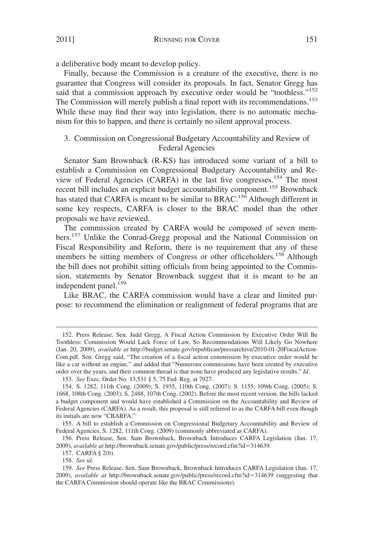a deliberative body meant to develop policy.

Finally, because the Commission is a creature of the executive, there is no guarantee that Congress will consider its proposals. In fact, Senator Gregg has said that a commission approach by executive order would be "toothless."<sup>152</sup> The Commission will merely publish a final report with its recommendations.<sup>153</sup> While these may find their way into legislation, there is no automatic mechanism for this to happen, and there is certainly no silent approval process.

## 3. Commission on Congressional Budgetary Accountability and Review of Federal Agencies

Senator Sam Brownback (R-KS) has introduced some variant of a bill to establish a Commission on Congressional Budgetary Accountability and Review of Federal Agencies (CARFA) in the last five congresses.<sup>154</sup> The most recent bill includes an explicit budget accountability component.<sup>155</sup> Brownback has stated that CARFA is meant to be similar to BRAC.<sup>156</sup> Although different in some key respects, CARFA is closer to the BRAC model than the other proposals we have reviewed.

The commission created by CARFA would be composed of seven members.<sup>157</sup> Unlike the Conrad-Gregg proposal and the National Commission on Fiscal Responsibility and Reform, there is no requirement that any of these members be sitting members of Congress or other officeholders.<sup>158</sup> Although the bill does not prohibit sitting officials from being appointed to the Commission, statements by Senator Brownback suggest that it is meant to be an independent panel.<sup>159</sup>

Like BRAC, the CARFA commission would have a clear and limited purpose: to recommend the elimination or realignment of federal programs that are

156. Press Release, Sen. Sam Brownback, Brownback Introduces CARFA Legislation (Jun. 17, 2009), *available at* http://brownback.senate.gov/public/press/record.cfm?id=314639.

157. CARFA § 2(b).

158. *See id.*

<sup>152.</sup> Press Release, Sen. Judd Gregg, A Fiscal Action Commission by Executive Order Will Be Toothless: Commission Would Lack Force of Law, So Recommendations Will Likely Go Nowhere (Jan. 20, 2009), *available at* http://budget.senate.gov/republican/pressarchive/2010-01-20FiscalAction-Com.pdf. Sen. Gregg said, "The creation of a fiscal action commission by executive order would be like a car without an engine," and added that "Numerous commissions have been created by executive order over the years, and their common thread is that none have produced any legislative results." *Id*.

<sup>153.</sup> *See* Exec. Order No. 13,531 § 5, 75 Fed. Reg. at 7927.

<sup>154.</sup> S. 1282, 111th Cong. (2009); S. 1935, 110th Cong. (2007); S. 1155, 109th Cong. (2005); S. 1668, 108th Cong. (2003); S. 2488, 107th Cong. (2002). Before the most recent version, the bills lacked a budget component and would have established a Commission on the Accountability and Review of Federal Agencies (CARFA). As a result, this proposal is still referred to as the CARFA bill even though its initials are now "CBARFA."

<sup>155.</sup> A bill to establish a Commission on Congressional Budgetary Accountability and Review of Federal Agencies, S. 1282, 111th Cong. (2009) (commonly abbreviated as CARFA).

<sup>159.</sup> *See* Press Release, Sen. Sam Brownback, Brownback Introduces CARFA Legislation (Jun. 17, 2009), *available at* http://brownback.senate.gov/public/press/record.cfm?id=314639 (suggesting that the CARFA Commission should operate like the BRAC Commissions).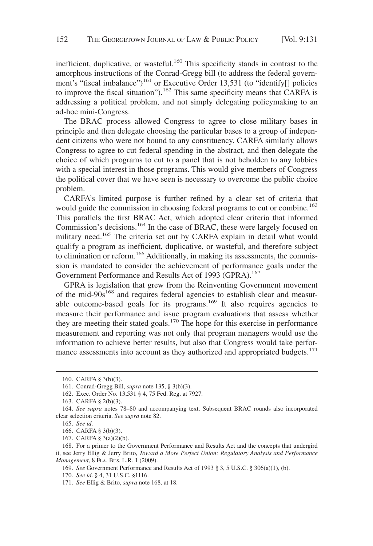inefficient, duplicative, or wasteful.<sup>160</sup> This specificity stands in contrast to the amorphous instructions of the Conrad-Gregg bill (to address the federal government's "fiscal imbalance")<sup>161</sup> or Executive Order 13,531 (to "identify[] policies to improve the fiscal situation").<sup>162</sup> This same specificity means that CARFA is addressing a political problem, and not simply delegating policymaking to an ad-hoc mini-Congress.

The BRAC process allowed Congress to agree to close military bases in principle and then delegate choosing the particular bases to a group of independent citizens who were not bound to any constituency. CARFA similarly allows Congress to agree to cut federal spending in the abstract, and then delegate the choice of which programs to cut to a panel that is not beholden to any lobbies with a special interest in those programs. This would give members of Congress the political cover that we have seen is necessary to overcome the public choice problem.

CARFA's limited purpose is further refined by a clear set of criteria that would guide the commission in choosing federal programs to cut or combine.<sup>163</sup> This parallels the first BRAC Act, which adopted clear criteria that informed Commission's decisions.<sup>164</sup> In the case of BRAC, these were largely focused on military need.<sup>165</sup> The criteria set out by CARFA explain in detail what would qualify a program as inefficient, duplicative, or wasteful, and therefore subject to elimination or reform.<sup>166</sup> Additionally, in making its assessments, the commission is mandated to consider the achievement of performance goals under the Government Performance and Results Act of 1993 (GPRA).<sup>167</sup>

GPRA is legislation that grew from the Reinventing Government movement of the mid- $90s^{168}$  and requires federal agencies to establish clear and measurable outcome-based goals for its programs.<sup>169</sup> It also requires agencies to measure their performance and issue program evaluations that assess whether they are meeting their stated goals.<sup>170</sup> The hope for this exercise in performance measurement and reporting was not only that program managers would use the information to achieve better results, but also that Congress would take performance assessments into account as they authorized and appropriated budgets.<sup>171</sup>

<sup>160.</sup> CARFA § 3(b)(3).

<sup>161.</sup> Conrad-Gregg Bill, *supra* note 135, § 3(b)(3).

<sup>162.</sup> Exec. Order No. 13,531 § 4, 75 Fed. Reg. at 7927.

<sup>163.</sup> CARFA § 2(b)(3).

<sup>164.</sup> *See supra* notes 78–80 and accompanying text. Subsequent BRAC rounds also incorporated clear selection criteria. *See supra* note 82.

<sup>165.</sup> *See id*.

<sup>166.</sup> CARFA § 3(b)(3).

<sup>167.</sup> CARFA § 3(a)(2)(b).

<sup>168.</sup> For a primer to the Government Performance and Results Act and the concepts that undergird it, see Jerry Ellig & Jerry Brito, *Toward a More Perfect Union: Regulatory Analysis and Performance Management*,8FLA. BUS. L.R. 1 (2009).

<sup>169.</sup> *See* Government Performance and Results Act of 1993 § 3, 5 U.S.C. § 306(a)(1), (b).

<sup>170.</sup> *See id*. § 4, 31 U.S.C. §1116.

<sup>171.</sup> *See* Ellig & Brito, *supra* note 168, at 18.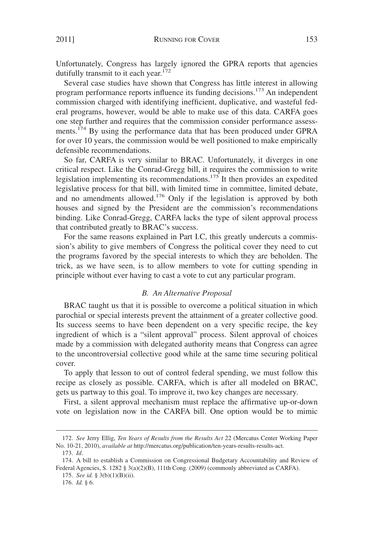Unfortunately, Congress has largely ignored the GPRA reports that agencies dutifully transmit to it each year.<sup>172</sup>

Several case studies have shown that Congress has little interest in allowing program performance reports influence its funding decisions.173 An independent commission charged with identifying inefficient, duplicative, and wasteful federal programs, however, would be able to make use of this data. CARFA goes one step further and requires that the commission consider performance assessments.<sup>174</sup> By using the performance data that has been produced under GPRA for over 10 years, the commission would be well positioned to make empirically defensible recommendations.

So far, CARFA is very similar to BRAC. Unfortunately, it diverges in one critical respect. Like the Conrad-Gregg bill, it requires the commission to write legislation implementing its recommendations.<sup>175</sup> It then provides an expedited legislative process for that bill, with limited time in committee, limited debate, and no amendments allowed.<sup>176</sup> Only if the legislation is approved by both houses and signed by the President are the commission's recommendations binding. Like Conrad-Gregg, CARFA lacks the type of silent approval process that contributed greatly to BRAC's success.

For the same reasons explained in Part I.C, this greatly undercuts a commission's ability to give members of Congress the political cover they need to cut the programs favored by the special interests to which they are beholden. The trick, as we have seen, is to allow members to vote for cutting spending in principle without ever having to cast a vote to cut any particular program.

#### *B. An Alternative Proposal*

BRAC taught us that it is possible to overcome a political situation in which parochial or special interests prevent the attainment of a greater collective good. Its success seems to have been dependent on a very specific recipe, the key ingredient of which is a "silent approval" process. Silent approval of choices made by a commission with delegated authority means that Congress can agree to the uncontroversial collective good while at the same time securing political cover.

To apply that lesson to out of control federal spending, we must follow this recipe as closely as possible. CARFA, which is after all modeled on BRAC, gets us partway to this goal. To improve it, two key changes are necessary.

First, a silent approval mechanism must replace the affirmative up-or-down vote on legislation now in the CARFA bill. One option would be to mimic

<sup>172.</sup> *See* Jerry Ellig, *Ten Years of Results from the Results Act* 22 (Mercatus Center Working Paper No. 10-21, 2010), *available at* http://mercatus.org/publication/ten-years-results-results-act.

<sup>173.</sup> *Id*.

<sup>174.</sup> A bill to establish a Commission on Congressional Budgetary Accountability and Review of Federal Agencies, S. 1282 § 3(a)(2)(B), 111th Cong. (2009) (commonly abbreviated as CARFA).

<sup>175.</sup> *See id.* § 3(b)(1)(B)(ii).

<sup>176.</sup> *Id.* § 6.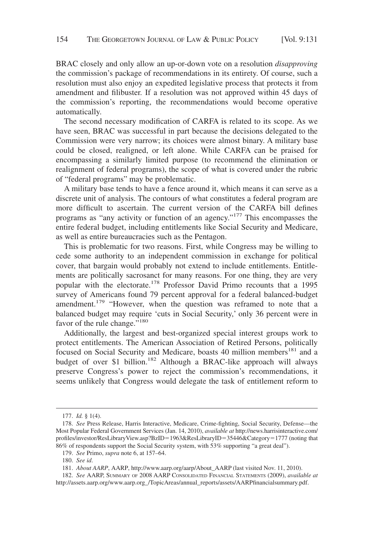BRAC closely and only allow an up-or-down vote on a resolution *disapproving* the commission's package of recommendations in its entirety. Of course, such a resolution must also enjoy an expedited legislative process that protects it from amendment and filibuster. If a resolution was not approved within 45 days of the commission's reporting, the recommendations would become operative automatically.

The second necessary modification of CARFA is related to its scope. As we have seen, BRAC was successful in part because the decisions delegated to the Commission were very narrow; its choices were almost binary. A military base could be closed, realigned, or left alone. While CARFA can be praised for encompassing a similarly limited purpose (to recommend the elimination or realignment of federal programs), the scope of what is covered under the rubric of "federal programs" may be problematic.

A military base tends to have a fence around it, which means it can serve as a discrete unit of analysis. The contours of what constitutes a federal program are more difficult to ascertain. The current version of the CARFA bill defines programs as "any activity or function of an agency."<sup>177</sup> This encompasses the entire federal budget, including entitlements like Social Security and Medicare, as well as entire bureaucracies such as the Pentagon.

This is problematic for two reasons. First, while Congress may be willing to cede some authority to an independent commission in exchange for political cover, that bargain would probably not extend to include entitlements. Entitlements are politically sacrosanct for many reasons. For one thing, they are very popular with the electorate.<sup>178</sup> Professor David Primo recounts that a 1995 survey of Americans found 79 percent approval for a federal balanced-budget amendment.<sup>179</sup> "However, when the question was reframed to note that a balanced budget may require 'cuts in Social Security,' only 36 percent were in favor of the rule change."<sup>180</sup>

Additionally, the largest and best-organized special interest groups work to protect entitlements. The American Association of Retired Persons, politically focused on Social Security and Medicare, boasts 40 million members<sup>181</sup> and a budget of over \$1 billion.<sup>182</sup> Although a BRAC-like approach will always preserve Congress's power to reject the commission's recommendations, it seems unlikely that Congress would delegate the task of entitlement reform to

<sup>177.</sup> *Id.* § 1(4).

<sup>178.</sup> *See* Press Release, Harris Interactive, Medicare, Crime-fighting, Social Security, Defense—the Most Popular Federal Government Services (Jan. 14, 2010), *available at* http://news.harrisinteractive.com/ profiles/investor/ResLibraryView.asp?BzID=1963&ResLibraryID=35446&Category=1777 (noting that 86% of respondents support the Social Security system, with 53% supporting "a great deal").

<sup>179.</sup> *See* Primo, *supra* note 6, at 157–64.

<sup>180.</sup> *See id*.

<sup>181.</sup> *About AARP*, AARP, http://www.aarp.org/aarp/About\_AARP (last visited Nov. 11, 2010).

<sup>182.</sup> *See* AARP, SUMMARY OF 2008 AARP CONSOLIDATED FINANCIAL STATEMENTS (2009), *available at* http://assets.aarp.org/www.aarp.org\_/TopicAreas/annual\_reports/assets/AARPfinancialsummary.pdf.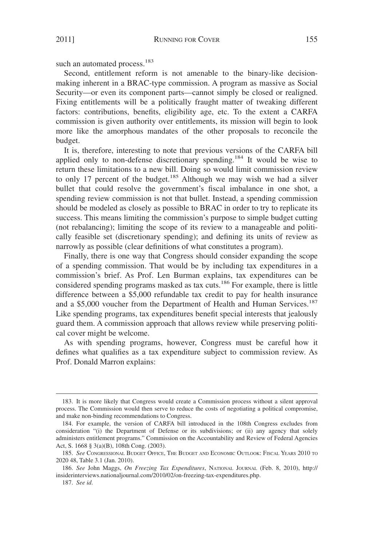such an automated process.<sup>183</sup>

Second, entitlement reform is not amenable to the binary-like decisionmaking inherent in a BRAC-type commission. A program as massive as Social Security—or even its component parts—cannot simply be closed or realigned. Fixing entitlements will be a politically fraught matter of tweaking different factors: contributions, benefits, eligibility age, etc. To the extent a CARFA commission is given authority over entitlements, its mission will begin to look more like the amorphous mandates of the other proposals to reconcile the budget.

It is, therefore, interesting to note that previous versions of the CARFA bill applied only to non-defense discretionary spending.<sup>184</sup> It would be wise to return these limitations to a new bill. Doing so would limit commission review to only 17 percent of the budget.<sup>185</sup> Although we may wish we had a silver bullet that could resolve the government's fiscal imbalance in one shot, a spending review commission is not that bullet. Instead, a spending commission should be modeled as closely as possible to BRAC in order to try to replicate its success. This means limiting the commission's purpose to simple budget cutting (not rebalancing); limiting the scope of its review to a manageable and politically feasible set (discretionary spending); and defining its units of review as narrowly as possible (clear definitions of what constitutes a program).

Finally, there is one way that Congress should consider expanding the scope of a spending commission. That would be by including tax expenditures in a commission's brief. As Prof. Len Burman explains, tax expenditures can be considered spending programs masked as tax cuts.<sup>186</sup> For example, there is little difference between a \$5,000 refundable tax credit to pay for health insurance and a \$5,000 voucher from the Department of Health and Human Services.<sup>187</sup> Like spending programs, tax expenditures benefit special interests that jealously guard them. A commission approach that allows review while preserving political cover might be welcome.

As with spending programs, however, Congress must be careful how it defines what qualifies as a tax expenditure subject to commission review. As Prof. Donald Marron explains:

<sup>183.</sup> It is more likely that Congress would create a Commission process without a silent approval process. The Commission would then serve to reduce the costs of negotiating a political compromise, and make non-binding recommendations to Congress.

<sup>184.</sup> For example, the version of CARFA bill introduced in the 108th Congress excludes from consideration "(i) the Department of Defense or its subdivisions; or (ii) any agency that solely administers entitlement programs." Commission on the Accountability and Review of Federal Agencies Act, S. 1668 § 3(a)(B), 108th Cong. (2003).

<sup>185.</sup> *See* CONGRESSIONAL BUDGET OFFICE, THE BUDGET AND ECONOMIC OUTLOOK: FISCAL YEARS 2010 TO 2020 48, Table 3.1 (Jan. 2010).

<sup>186.</sup> *See* John Maggs, *On Freezing Tax Expenditures*, NATIONAL JOURNAL (Feb. 8, 2010), http:// insiderinterviews.nationaljournal.com/2010/02/on-freezing-tax-expenditures.php.

<sup>187.</sup> *See id*.